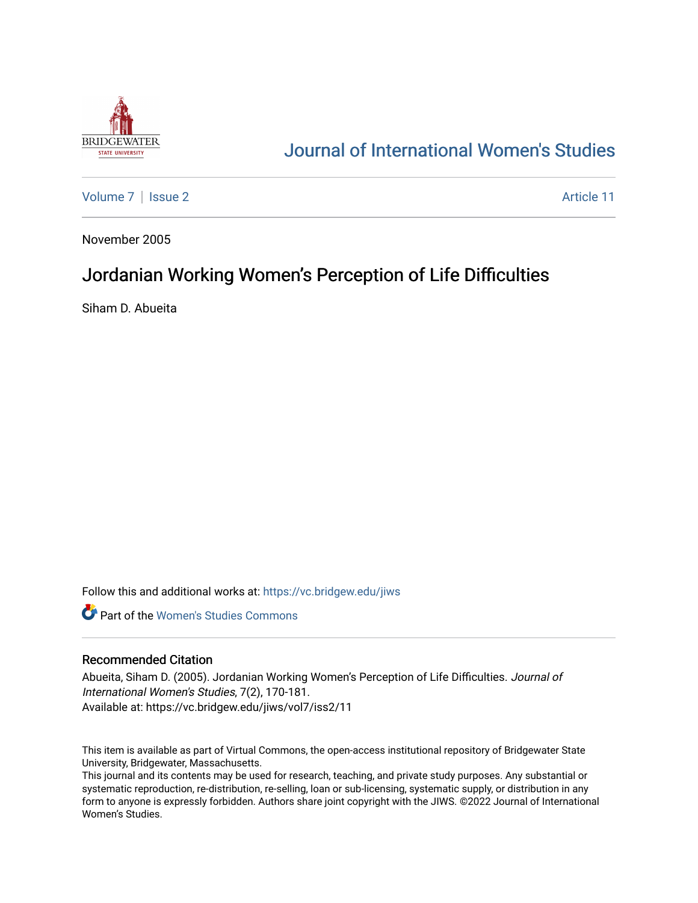

# [Journal of International Women's Studies](https://vc.bridgew.edu/jiws)

[Volume 7](https://vc.bridgew.edu/jiws/vol7) | [Issue 2](https://vc.bridgew.edu/jiws/vol7/iss2) Article 11

November 2005

# Jordanian Working Women's Perception of Life Difficulties

Siham D. Abueita

Follow this and additional works at: [https://vc.bridgew.edu/jiws](https://vc.bridgew.edu/jiws?utm_source=vc.bridgew.edu%2Fjiws%2Fvol7%2Fiss2%2F11&utm_medium=PDF&utm_campaign=PDFCoverPages)

**C** Part of the Women's Studies Commons

#### Recommended Citation

Abueita, Siham D. (2005). Jordanian Working Women's Perception of Life Difficulties. Journal of International Women's Studies, 7(2), 170-181. Available at: https://vc.bridgew.edu/jiws/vol7/iss2/11

This item is available as part of Virtual Commons, the open-access institutional repository of Bridgewater State University, Bridgewater, Massachusetts.

This journal and its contents may be used for research, teaching, and private study purposes. Any substantial or systematic reproduction, re-distribution, re-selling, loan or sub-licensing, systematic supply, or distribution in any form to anyone is expressly forbidden. Authors share joint copyright with the JIWS. ©2022 Journal of International Women's Studies.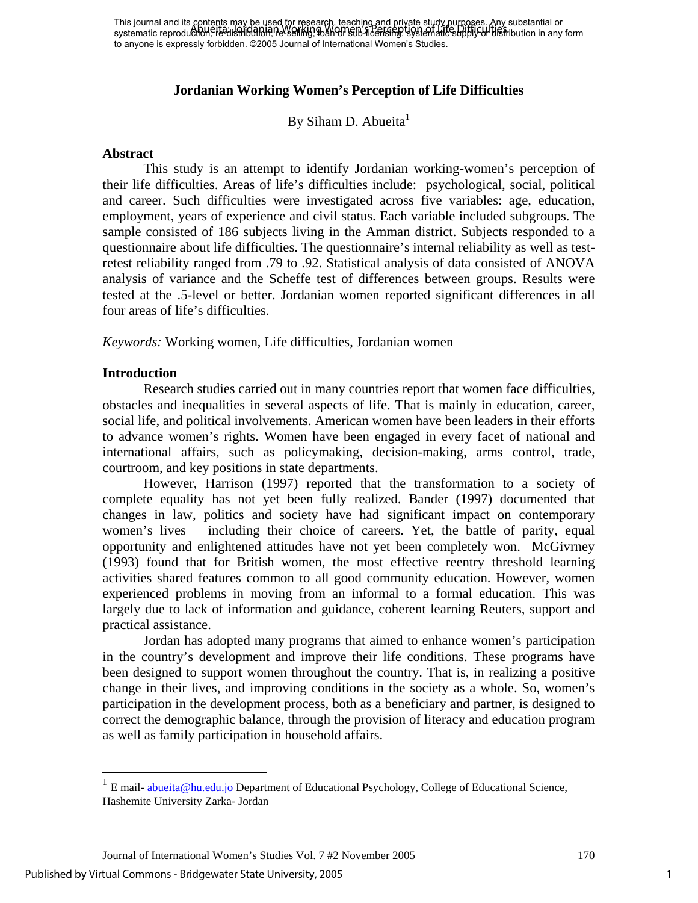# **Jordanian Working Women's Perception of Life Difficulties**

By Siham D. Abueita $^1$ 

#### **Abstract**

This study is an attempt to identify Jordanian working-women's perception of their life difficulties. Areas of life's difficulties include: psychological, social, political and career. Such difficulties were investigated across five variables: age, education, employment, years of experience and civil status. Each variable included subgroups. The sample consisted of 186 subjects living in the Amman district. Subjects responded to a questionnaire about life difficulties. The questionnaire's internal reliability as well as testretest reliability ranged from .79 to .92. Statistical analysis of data consisted of ANOVA analysis of variance and the Scheffe test of differences between groups. Results were tested at the .5-level or better. Jordanian women reported significant differences in all four areas of life's difficulties.

*Keywords:* Working women, Life difficulties, Jordanian women

## **Introduction**

 Research studies carried out in many countries report that women face difficulties, obstacles and inequalities in several aspects of life. That is mainly in education, career, social life, and political involvements. American women have been leaders in their efforts to advance women's rights. Women have been engaged in every facet of national and international affairs, such as policymaking, decision-making, arms control, trade, courtroom, and key positions in state departments.

 However, Harrison (1997) reported that the transformation to a society of complete equality has not yet been fully realized. Bander (1997) documented that changes in law, politics and society have had significant impact on contemporary women's lives including their choice of careers. Yet, the battle of parity, equal opportunity and enlightened attitudes have not yet been completely won. McGivrney (1993) found that for British women, the most effective reentry threshold learning activities shared features common to all good community education. However, women experienced problems in moving from an informal to a formal education. This was largely due to lack of information and guidance, coherent learning Reuters, support and practical assistance.

 Jordan has adopted many programs that aimed to enhance women's participation in the country's development and improve their life conditions. These programs have been designed to support women throughout the country. That is, in realizing a positive change in their lives, and improving conditions in the society as a whole. So, women's participation in the development process, both as a beneficiary and partner, is designed to correct the demographic balance, through the provision of literacy and education program as well as family participation in household affairs.

 $\overline{a}$ 

 $1$  E mail-abueita@hu.edu.jo Department of Educational Psychology, College of Educational Science, Hashemite University Zarka- Jordan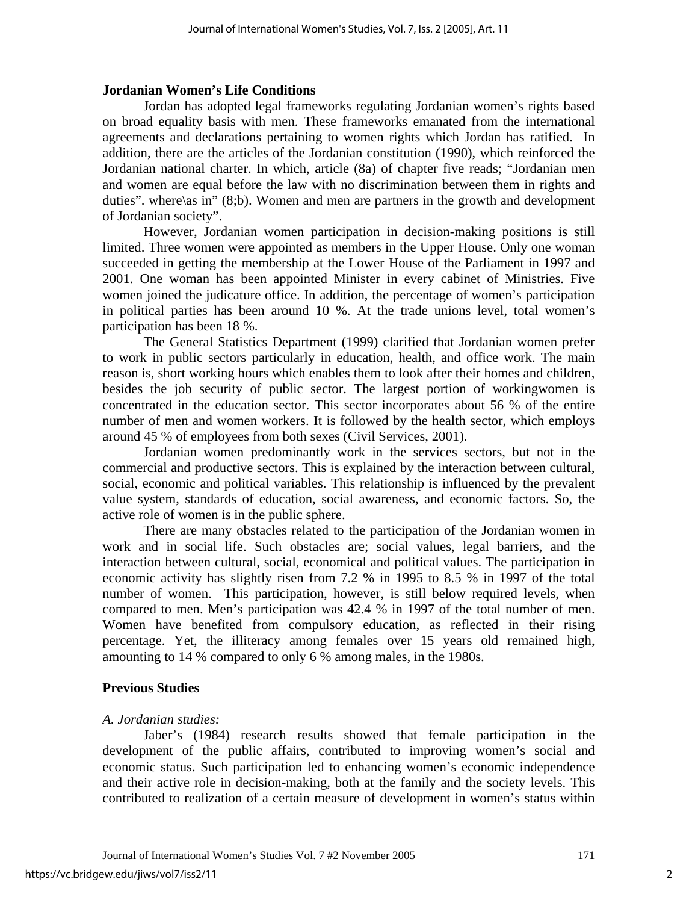## **Jordanian Women's Life Conditions**

 Jordan has adopted legal frameworks regulating Jordanian women's rights based on broad equality basis with men. These frameworks emanated from the international agreements and declarations pertaining to women rights which Jordan has ratified. In addition, there are the articles of the Jordanian constitution (1990), which reinforced the Jordanian national charter. In which, article (8a) of chapter five reads; "Jordanian men and women are equal before the law with no discrimination between them in rights and duties". where\as in" (8;b). Women and men are partners in the growth and development of Jordanian society".

 However, Jordanian women participation in decision-making positions is still limited. Three women were appointed as members in the Upper House. Only one woman succeeded in getting the membership at the Lower House of the Parliament in 1997 and 2001. One woman has been appointed Minister in every cabinet of Ministries. Five women joined the judicature office. In addition, the percentage of women's participation in political parties has been around 10 %. At the trade unions level, total women's participation has been 18 %.

 The General Statistics Department (1999) clarified that Jordanian women prefer to work in public sectors particularly in education, health, and office work. The main reason is, short working hours which enables them to look after their homes and children, besides the job security of public sector. The largest portion of workingwomen is concentrated in the education sector. This sector incorporates about 56 % of the entire number of men and women workers. It is followed by the health sector, which employs around 45 % of employees from both sexes (Civil Services, 2001).

 Jordanian women predominantly work in the services sectors, but not in the commercial and productive sectors. This is explained by the interaction between cultural, social, economic and political variables. This relationship is influenced by the prevalent value system, standards of education, social awareness, and economic factors. So, the active role of women is in the public sphere.

 There are many obstacles related to the participation of the Jordanian women in work and in social life. Such obstacles are; social values, legal barriers, and the interaction between cultural, social, economical and political values. The participation in economic activity has slightly risen from 7.2 % in 1995 to 8.5 % in 1997 of the total number of women. This participation, however, is still below required levels, when compared to men. Men's participation was 42.4 % in 1997 of the total number of men. Women have benefited from compulsory education, as reflected in their rising percentage. Yet, the illiteracy among females over 15 years old remained high, amounting to 14 % compared to only 6 % among males, in the 1980s.

# **Previous Studies**

# *A. Jordanian studies:*

 Jaber's (1984) research results showed that female participation in the development of the public affairs, contributed to improving women's social and economic status. Such participation led to enhancing women's economic independence and their active role in decision-making, both at the family and the society levels. This contributed to realization of a certain measure of development in women's status within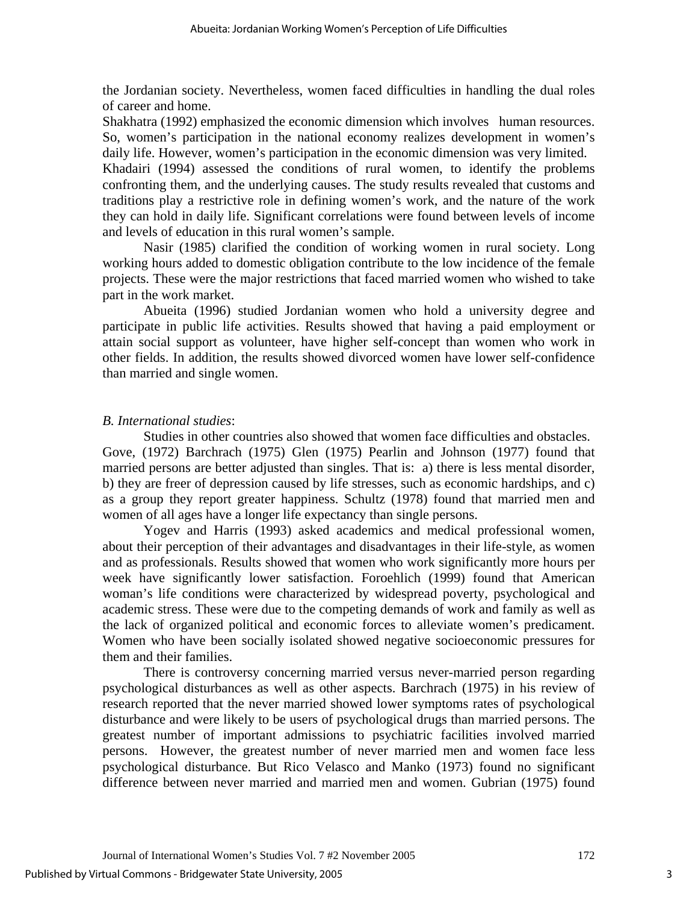the Jordanian society. Nevertheless, women faced difficulties in handling the dual roles of career and home.

Shakhatra (1992) emphasized the economic dimension which involves human resources. So, women's participation in the national economy realizes development in women's daily life. However, women's participation in the economic dimension was very limited.

Khadairi (1994) assessed the conditions of rural women, to identify the problems confronting them, and the underlying causes. The study results revealed that customs and traditions play a restrictive role in defining women's work, and the nature of the work they can hold in daily life. Significant correlations were found between levels of income and levels of education in this rural women's sample.

 Nasir (1985) clarified the condition of working women in rural society. Long working hours added to domestic obligation contribute to the low incidence of the female projects. These were the major restrictions that faced married women who wished to take part in the work market.

 Abueita (1996) studied Jordanian women who hold a university degree and participate in public life activities. Results showed that having a paid employment or attain social support as volunteer, have higher self-concept than women who work in other fields. In addition, the results showed divorced women have lower self-confidence than married and single women.

## *B. International studies*:

 Studies in other countries also showed that women face difficulties and obstacles. Gove, (1972) Barchrach (1975) Glen (1975) Pearlin and Johnson (1977) found that married persons are better adjusted than singles. That is: a) there is less mental disorder, b) they are freer of depression caused by life stresses, such as economic hardships, and c) as a group they report greater happiness. Schultz (1978) found that married men and women of all ages have a longer life expectancy than single persons.

 Yogev and Harris (1993) asked academics and medical professional women, about their perception of their advantages and disadvantages in their life-style, as women and as professionals. Results showed that women who work significantly more hours per week have significantly lower satisfaction. Foroehlich (1999) found that American woman's life conditions were characterized by widespread poverty, psychological and academic stress. These were due to the competing demands of work and family as well as the lack of organized political and economic forces to alleviate women's predicament. Women who have been socially isolated showed negative socioeconomic pressures for them and their families.

 There is controversy concerning married versus never-married person regarding psychological disturbances as well as other aspects. Barchrach (1975) in his review of research reported that the never married showed lower symptoms rates of psychological disturbance and were likely to be users of psychological drugs than married persons. The greatest number of important admissions to psychiatric facilities involved married persons. However, the greatest number of never married men and women face less psychological disturbance. But Rico Velasco and Manko (1973) found no significant difference between never married and married men and women. Gubrian (1975) found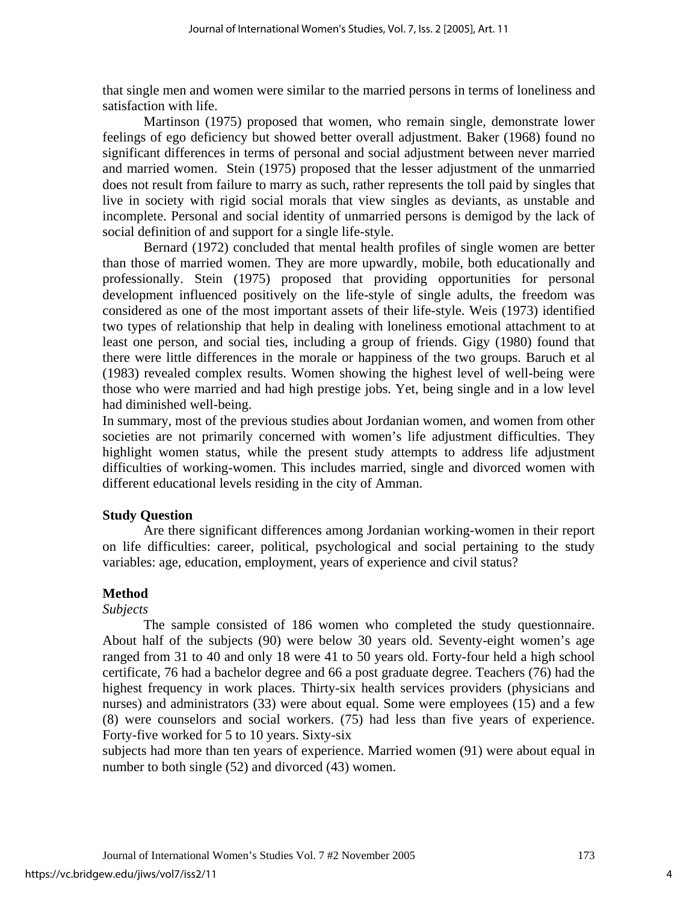that single men and women were similar to the married persons in terms of loneliness and satisfaction with life.

 Martinson (1975) proposed that women, who remain single, demonstrate lower feelings of ego deficiency but showed better overall adjustment. Baker (1968) found no significant differences in terms of personal and social adjustment between never married and married women. Stein (1975) proposed that the lesser adjustment of the unmarried does not result from failure to marry as such, rather represents the toll paid by singles that live in society with rigid social morals that view singles as deviants, as unstable and incomplete. Personal and social identity of unmarried persons is demigod by the lack of social definition of and support for a single life-style.

 Bernard (1972) concluded that mental health profiles of single women are better than those of married women. They are more upwardly, mobile, both educationally and professionally. Stein (1975) proposed that providing opportunities for personal development influenced positively on the life-style of single adults, the freedom was considered as one of the most important assets of their life-style. Weis (1973) identified two types of relationship that help in dealing with loneliness emotional attachment to at least one person, and social ties, including a group of friends. Gigy (1980) found that there were little differences in the morale or happiness of the two groups. Baruch et al (1983) revealed complex results. Women showing the highest level of well-being were those who were married and had high prestige jobs. Yet, being single and in a low level had diminished well-being.

In summary, most of the previous studies about Jordanian women, and women from other societies are not primarily concerned with women's life adjustment difficulties. They highlight women status, while the present study attempts to address life adjustment difficulties of working-women. This includes married, single and divorced women with different educational levels residing in the city of Amman.

#### **Study Question**

 Are there significant differences among Jordanian working-women in their report on life difficulties: career, political, psychological and social pertaining to the study variables: age, education, employment, years of experience and civil status?

#### **Method**

#### *Subjects*

 The sample consisted of 186 women who completed the study questionnaire. About half of the subjects (90) were below 30 years old. Seventy-eight women's age ranged from 31 to 40 and only 18 were 41 to 50 years old. Forty-four held a high school certificate, 76 had a bachelor degree and 66 a post graduate degree. Teachers (76) had the highest frequency in work places. Thirty-six health services providers (physicians and nurses) and administrators (33) were about equal. Some were employees (15) and a few (8) were counselors and social workers. (75) had less than five years of experience. Forty-five worked for 5 to 10 years. Sixty-six

subjects had more than ten years of experience. Married women (91) were about equal in number to both single (52) and divorced (43) women.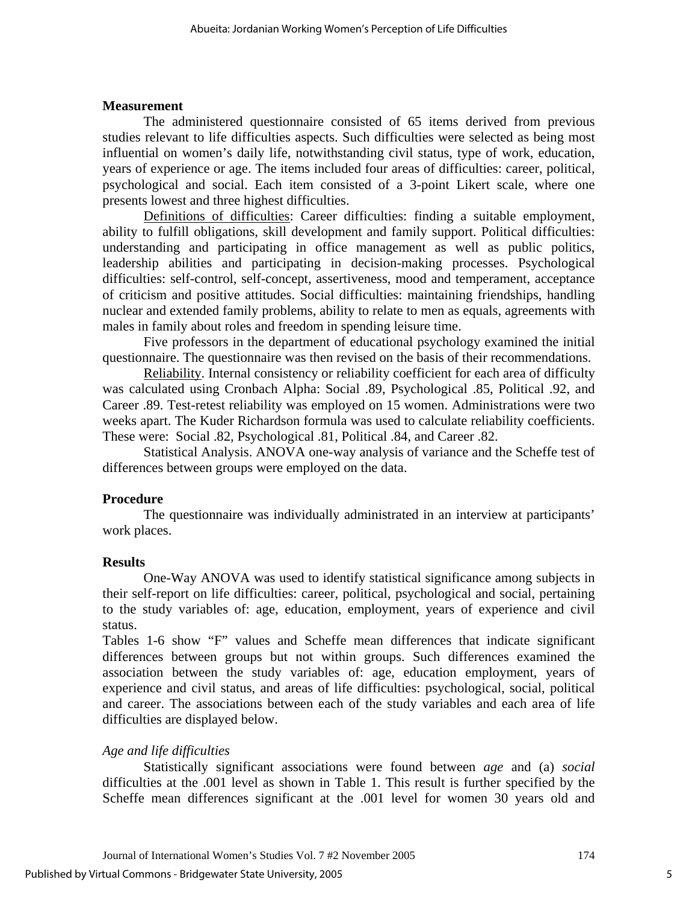#### **Measurement**

 The administered questionnaire consisted of 65 items derived from previous studies relevant to life difficulties aspects. Such difficulties were selected as being most influential on women's daily life, notwithstanding civil status, type of work, education, years of experience or age. The items included four areas of difficulties: career, political, psychological and social. Each item consisted of a 3-point Likert scale, where one presents lowest and three highest difficulties.

 Definitions of difficulties: Career difficulties: finding a suitable employment, ability to fulfill obligations, skill development and family support. Political difficulties: understanding and participating in office management as well as public politics, leadership abilities and participating in decision-making processes. Psychological difficulties: self-control, self-concept, assertiveness, mood and temperament, acceptance of criticism and positive attitudes. Social difficulties: maintaining friendships, handling nuclear and extended family problems, ability to relate to men as equals, agreements with males in family about roles and freedom in spending leisure time.

 Five professors in the department of educational psychology examined the initial questionnaire. The questionnaire was then revised on the basis of their recommendations.

 Reliability. Internal consistency or reliability coefficient for each area of difficulty was calculated using Cronbach Alpha: Social .89, Psychological .85, Political .92, and Career .89. Test-retest reliability was employed on 15 women. Administrations were two weeks apart. The Kuder Richardson formula was used to calculate reliability coefficients. These were: Social .82, Psychological .81, Political .84, and Career .82.

 Statistical Analysis. ANOVA one-way analysis of variance and the Scheffe test of differences between groups were employed on the data.

#### **Procedure**

 The questionnaire was individually administrated in an interview at participants' work places.

#### **Results**

 One-Way ANOVA was used to identify statistical significance among subjects in their self-report on life difficulties: career, political, psychological and social, pertaining to the study variables of: age, education, employment, years of experience and civil status.

Tables 1-6 show "F" values and Scheffe mean differences that indicate significant differences between groups but not within groups. Such differences examined the association between the study variables of: age, education employment, years of experience and civil status, and areas of life difficulties: psychological, social, political and career. The associations between each of the study variables and each area of life difficulties are displayed below.

## *Age and life difficulties*

 Statistically significant associations were found between *age* and (a) *social* difficulties at the .001 level as shown in Table 1. This result is further specified by the Scheffe mean differences significant at the .001 level for women 30 years old and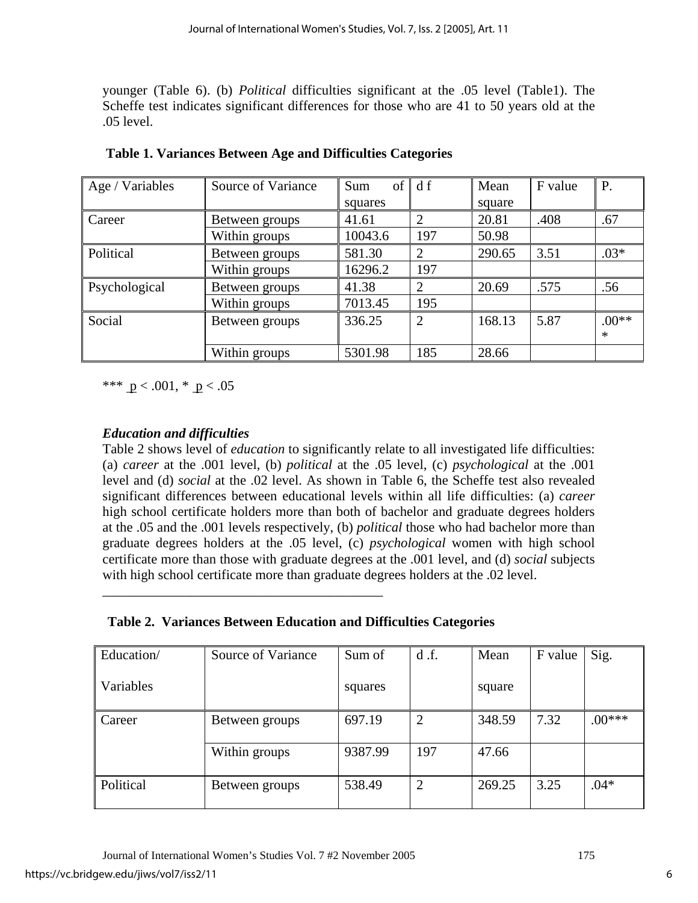younger (Table 6). (b) *Political* difficulties significant at the .05 level (Table1). The Scheffe test indicates significant differences for those who are 41 to 50 years old at the .05 level.

| Age / Variables | Source of Variance | of<br>Sum | d f            | Mean   | F value | P.      |
|-----------------|--------------------|-----------|----------------|--------|---------|---------|
|                 |                    | squares   |                | square |         |         |
| Career          | Between groups     | 41.61     |                | 20.81  | .408    | .67     |
|                 | Within groups      | 10043.6   | 197            | 50.98  |         |         |
| Political       | Between groups     | 581.30    | 2              | 290.65 | 3.51    | $.03*$  |
|                 | Within groups      | 16296.2   | 197            |        |         |         |
| Psychological   | Between groups     | 41.38     | $\overline{2}$ | 20.69  | .575    | .56     |
|                 | Within groups      | 7013.45   | 195            |        |         |         |
| Social          | Between groups     | 336.25    | $\overline{2}$ | 168.13 | 5.87    | $.00**$ |
|                 |                    |           |                |        |         | $\ast$  |
|                 | Within groups      | 5301.98   | 185            | 28.66  |         |         |

**Table 1. Variances Between Age and Difficulties Categories** 

\*\*\*  $p < .001$ , \*  $p < .05$ 

# *Education and difficulties*

Table 2 shows level of *education* to significantly relate to all investigated life difficulties: (a) *career* at the .001 level, (b) *political* at the .05 level, (c) *psychological* at the .001 level and (d) *social* at the .02 level. As shown in Table 6, the Scheffe test also revealed significant differences between educational levels within all life difficulties: (a) *career* high school certificate holders more than both of bachelor and graduate degrees holders at the .05 and the .001 levels respectively, (b) *political* those who had bachelor more than graduate degrees holders at the .05 level, (c) *psychological* women with high school certificate more than those with graduate degrees at the .001 level, and (d) *social* subjects with high school certificate more than graduate degrees holders at the .02 level.

| Table 2. Variances Between Education and Difficulties Categories |  |  |  |
|------------------------------------------------------------------|--|--|--|
|                                                                  |  |  |  |

| Education/ | Source of Variance | Sum of  | d.f.           | Mean   | F value | Sig.     |
|------------|--------------------|---------|----------------|--------|---------|----------|
| Variables  |                    | squares |                | square |         |          |
| Career     | Between groups     | 697.19  | $\overline{2}$ | 348.59 | 7.32    | $.00***$ |
|            | Within groups      | 9387.99 | 197            | 47.66  |         |          |
| Political  | Between groups     | 538.49  | $\overline{2}$ | 269.25 | 3.25    | $.04*$   |

\_\_\_\_\_\_\_\_\_\_\_\_\_\_\_\_\_\_\_\_\_\_\_\_\_\_\_\_\_\_\_\_\_\_\_\_\_\_\_\_\_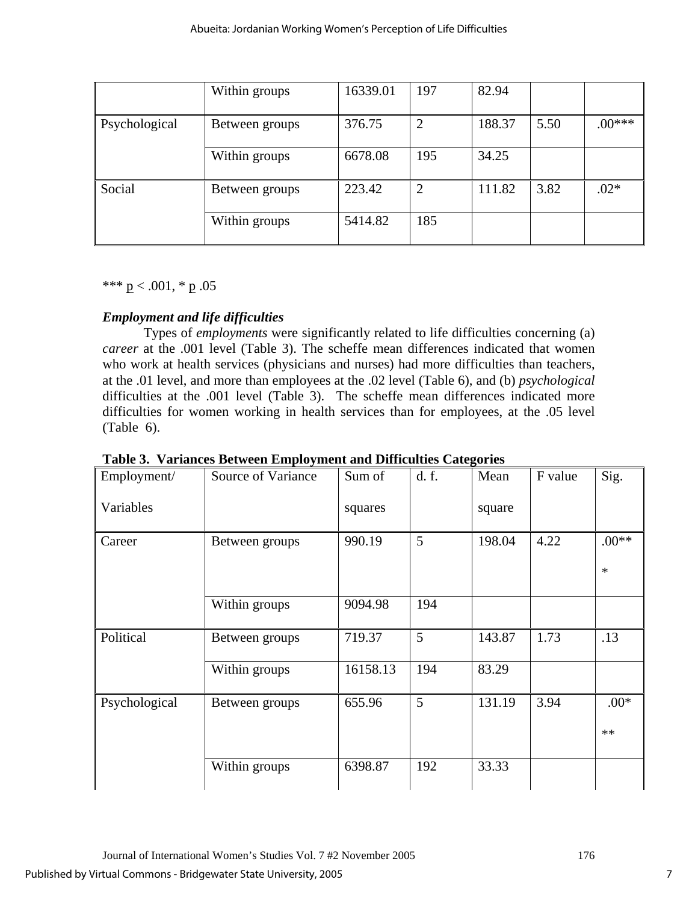|               | Within groups  | 16339.01 | 197            | 82.94  |      |          |
|---------------|----------------|----------|----------------|--------|------|----------|
| Psychological | Between groups | 376.75   | $\overline{2}$ | 188.37 | 5.50 | $.00***$ |
|               | Within groups  | 6678.08  | 195            | 34.25  |      |          |
| Social        | Between groups | 223.42   | $\overline{2}$ | 111.82 | 3.82 | $.02*$   |
|               | Within groups  | 5414.82  | 185            |        |      |          |

\*\*\*  $p < .001$ , \* p .05

# *Employment and life difficulties*

 Types of *employments* were significantly related to life difficulties concerning (a) *career* at the .001 level (Table 3). The scheffe mean differences indicated that women who work at health services (physicians and nurses) had more difficulties than teachers, at the .01 level, and more than employees at the .02 level (Table 6), and (b) *psychological* difficulties at the .001 level (Table 3). The scheffe mean differences indicated more difficulties for women working in health services than for employees, at the .05 level  $(Table 6)$ .

| Employment/   | Source of Variance | Sum of   | d.f. | Mean   | F value | Sig.              |
|---------------|--------------------|----------|------|--------|---------|-------------------|
| Variables     |                    | squares  |      | square |         |                   |
| Career        | Between groups     | 990.19   | 5    | 198.04 | 4.22    | $.00**$<br>$\ast$ |
|               | Within groups      | 9094.98  | 194  |        |         |                   |
| Political     | Between groups     | 719.37   | 5    | 143.87 | 1.73    | .13               |
|               | Within groups      | 16158.13 | 194  | 83.29  |         |                   |
| Psychological | Between groups     | 655.96   | 5    | 131.19 | 3.94    | $.00*$<br>$**$    |
|               | Within groups      | 6398.87  | 192  | 33.33  |         |                   |

**Table 3. Variances Between Employment and Difficulties Categories**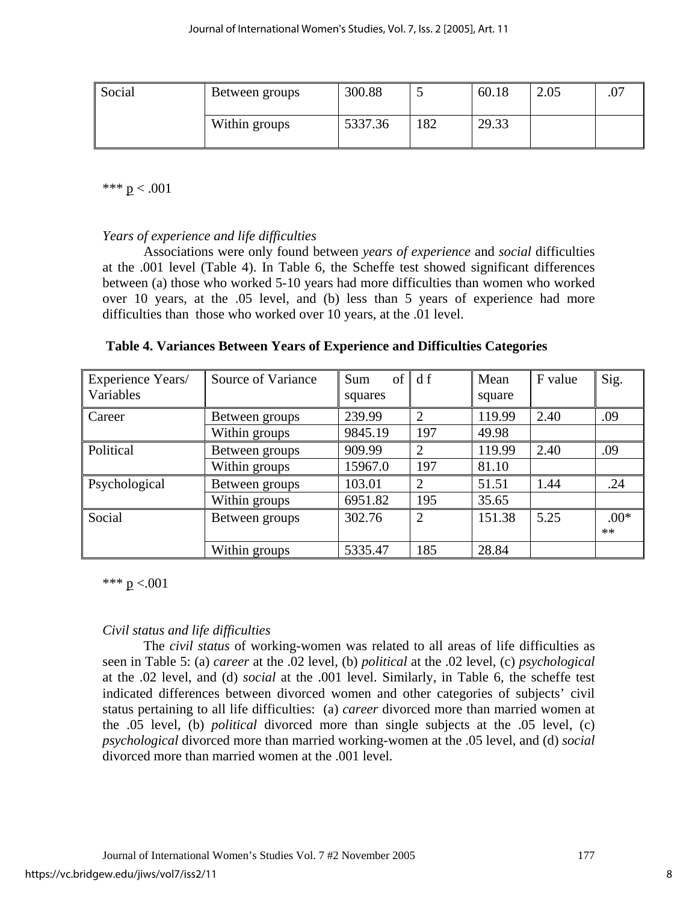| Social | Between groups | 300.88  | $\overline{\phantom{0}}$ | 60.18 | 2.05 | $\cdot$ $\circ$ $\prime$ |
|--------|----------------|---------|--------------------------|-------|------|--------------------------|
|        | Within groups  | 5337.36 | 182                      | 29.33 |      |                          |

\*\*\*  $p < .001$ 

# *Years of experience and life difficulties*

 Associations were only found between *years of experience* and *social* difficulties at the .001 level (Table 4). In Table 6, the Scheffe test showed significant differences between (a) those who worked 5-10 years had more difficulties than women who worked over 10 years, at the .05 level, and (b) less than 5 years of experience had more difficulties than those who worked over 10 years, at the .01 level.

| Experience Years/<br>Variables | Source of Variance | Sum<br>of<br>squares | df             | Mean<br>square | F value | Sig.   |
|--------------------------------|--------------------|----------------------|----------------|----------------|---------|--------|
| Career                         | Between groups     | 239.99               | $\bigcap$      | 119.99         | 2.40    | .09    |
|                                | Within groups      | 9845.19              | 197            | 49.98          |         |        |
| Political                      | Between groups     | 909.99               | 2              | 119.99         | 2.40    | .09    |
|                                | Within groups      | 15967.0              | 197            | 81.10          |         |        |
| Psychological                  | Between groups     | 103.01               | $\overline{2}$ | 51.51          | 1.44    | .24    |
|                                | Within groups      | 6951.82              | 195            | 35.65          |         |        |
| Social                         | Between groups     | 302.76               | $\overline{2}$ | 151.38         | 5.25    | $.00*$ |
|                                |                    |                      |                |                |         | $**$   |
|                                | Within groups      | 5335.47              | 185            | 28.84          |         |        |

| Table 4. Variances Between Years of Experience and Difficulties Categories |  |  |  |  |  |
|----------------------------------------------------------------------------|--|--|--|--|--|
|                                                                            |  |  |  |  |  |

\*\*\*  $p < 001$ 

# *Civil status and life difficulties*

 The *civil status* of working-women was related to all areas of life difficulties as seen in Table 5: (a) *career* at the .02 level, (b) *political* at the .02 level, (c) *psychological* at the .02 level, and (d) *social* at the .001 level. Similarly, in Table 6, the scheffe test indicated differences between divorced women and other categories of subjects' civil status pertaining to all life difficulties: (a) *career* divorced more than married women at the .05 level, (b) *political* divorced more than single subjects at the .05 level, (c) *psychological* divorced more than married working-women at the .05 level, and (d) *social* divorced more than married women at the .001 level.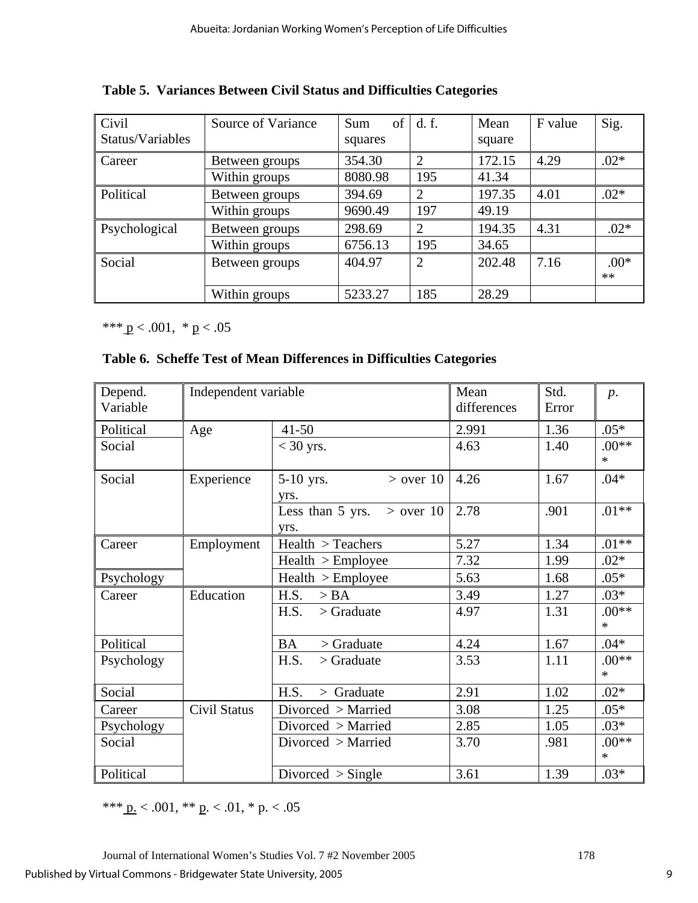| Civil            | Source of Variance | of<br>Sum | d. f.          | Mean   | F value | Sig.   |
|------------------|--------------------|-----------|----------------|--------|---------|--------|
| Status/Variables |                    | squares   |                | square |         |        |
| Career           | Between groups     | 354.30    | 2              | 172.15 | 4.29    | $.02*$ |
|                  | Within groups      | 8080.98   | 195            | 41.34  |         |        |
| Political        | Between groups     | 394.69    | $\overline{2}$ | 197.35 | 4.01    | $.02*$ |
|                  | Within groups      | 9690.49   | 197            | 49.19  |         |        |
| Psychological    | Between groups     | 298.69    | $\overline{2}$ | 194.35 | 4.31    | $.02*$ |
|                  | Within groups      | 6756.13   | 195            | 34.65  |         |        |
| Social           | Between groups     | 404.97    | $\overline{2}$ | 202.48 | 7.16    | $.00*$ |
|                  |                    |           |                |        |         | $**$   |
|                  | Within groups      | 5233.27   | 185            | 28.29  |         |        |

**Table 5. Variances Between Civil Status and Difficulties Categories** 

\*\*\*  $p < .001$ , \*  $p < .05$ 

# **Table 6. Scheffe Test of Mean Differences in Difficulties Categories**

| Depend.<br>Variable | Independent variable |                                         | Mean<br>differences | Std.<br>Error | $p$ .             |
|---------------------|----------------------|-----------------------------------------|---------------------|---------------|-------------------|
| Political           | Age                  | $41 - 50$                               | 2.991               | 1.36          | $.05*$            |
| Social              |                      | $<$ 30 yrs.                             | 4.63                | 1.40          | $.00**$<br>$\ast$ |
| Social              | Experience           | $5-10$ yrs.<br>$>$ over 10<br>yrs.      | 4.26                | 1.67          | $.04*$            |
|                     |                      | Less than 5 yrs.<br>$>$ over 10<br>yrs. | 2.78                | .901          | $.01**$           |
| Career              | Employment           | Health > Teachers                       | 5.27                | 1.34          | $.01**$           |
|                     |                      | Health >Employee                        | 7.32                | 1.99          | $.02*$            |
| Psychology          |                      | Health >Employee                        | 5.63                | 1.68          | $.05*$            |
| Career              | Education            | H.S.<br>>BA                             | 3.49                | 1.27          | $.03*$            |
|                     |                      | H.S.<br>$\mathcal{B}$ Graduate          | 4.97                | 1.31          | $.00**$<br>$\ast$ |
| Political           |                      | <b>BA</b><br>$\mathcal{B}$ Graduate     | 4.24                | 1.67          | $.04*$            |
| Psychology          |                      | H.S.<br>$\mathcal{B}$ Graduate          | 3.53                | 1.11          | $.00**$<br>$\ast$ |
| Social              |                      | H.S.<br>> Graduate                      | 2.91                | 1.02          | $.02*$            |
| Career              | <b>Civil Status</b>  | Divorced > Married                      | 3.08                | 1.25          | $.05*$            |
| Psychology          |                      | Divorced > Married                      | 2.85                | 1.05          | $.03*$            |
| Social              |                      | Divorced > Married                      | 3.70                | .981          | $.00**$<br>$\ast$ |
| Political           |                      | Divored > Single                        | 3.61                | 1.39          | $.03*$            |

\*\*\* <u>p.</u> < .001, \*\* p. < .01, \* p. < .05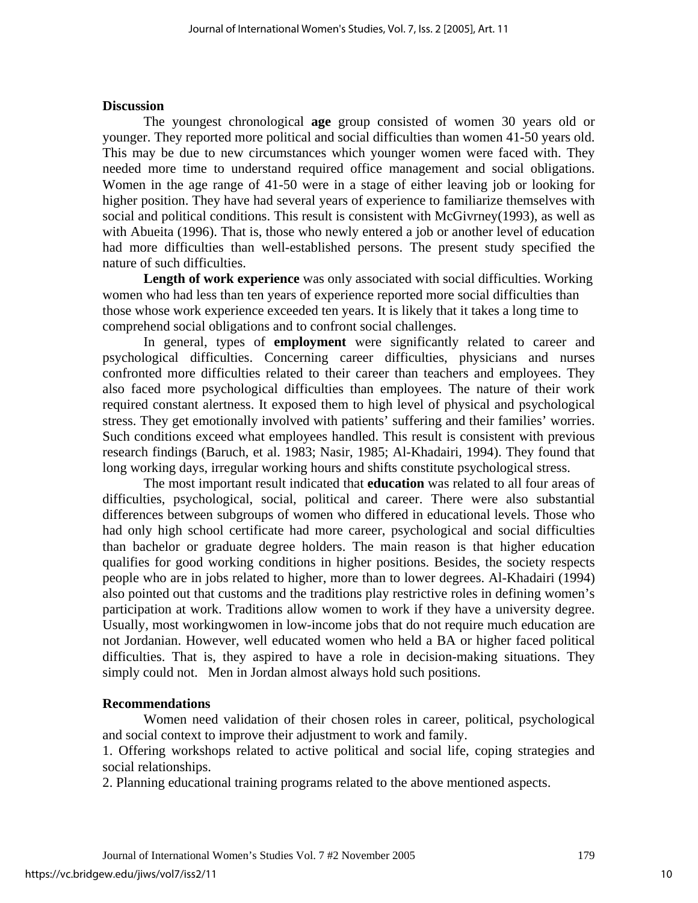## **Discussion**

 The youngest chronological **age** group consisted of women 30 years old or younger. They reported more political and social difficulties than women 41-50 years old. This may be due to new circumstances which younger women were faced with. They needed more time to understand required office management and social obligations. Women in the age range of 41-50 were in a stage of either leaving job or looking for higher position. They have had several years of experience to familiarize themselves with social and political conditions. This result is consistent with McGivrney(1993), as well as with Abueita (1996). That is, those who newly entered a job or another level of education had more difficulties than well-established persons. The present study specified the nature of such difficulties.

 **Length of work experience** was only associated with social difficulties. Working women who had less than ten years of experience reported more social difficulties than those whose work experience exceeded ten years. It is likely that it takes a long time to comprehend social obligations and to confront social challenges.

 In general, types of **employment** were significantly related to career and psychological difficulties. Concerning career difficulties, physicians and nurses confronted more difficulties related to their career than teachers and employees. They also faced more psychological difficulties than employees. The nature of their work required constant alertness. It exposed them to high level of physical and psychological stress. They get emotionally involved with patients' suffering and their families' worries. Such conditions exceed what employees handled. This result is consistent with previous research findings (Baruch, et al. 1983; Nasir, 1985; Al-Khadairi, 1994). They found that long working days, irregular working hours and shifts constitute psychological stress.

 The most important result indicated that **education** was related to all four areas of difficulties, psychological, social, political and career. There were also substantial differences between subgroups of women who differed in educational levels. Those who had only high school certificate had more career, psychological and social difficulties than bachelor or graduate degree holders. The main reason is that higher education qualifies for good working conditions in higher positions. Besides, the society respects people who are in jobs related to higher, more than to lower degrees. Al-Khadairi (1994) also pointed out that customs and the traditions play restrictive roles in defining women's participation at work. Traditions allow women to work if they have a university degree. Usually, most workingwomen in low-income jobs that do not require much education are not Jordanian. However, well educated women who held a BA or higher faced political difficulties. That is, they aspired to have a role in decision-making situations. They simply could not. Men in Jordan almost always hold such positions.

# **Recommendations**

 Women need validation of their chosen roles in career, political, psychological and social context to improve their adjustment to work and family.

1. Offering workshops related to active political and social life, coping strategies and social relationships.

2. Planning educational training programs related to the above mentioned aspects.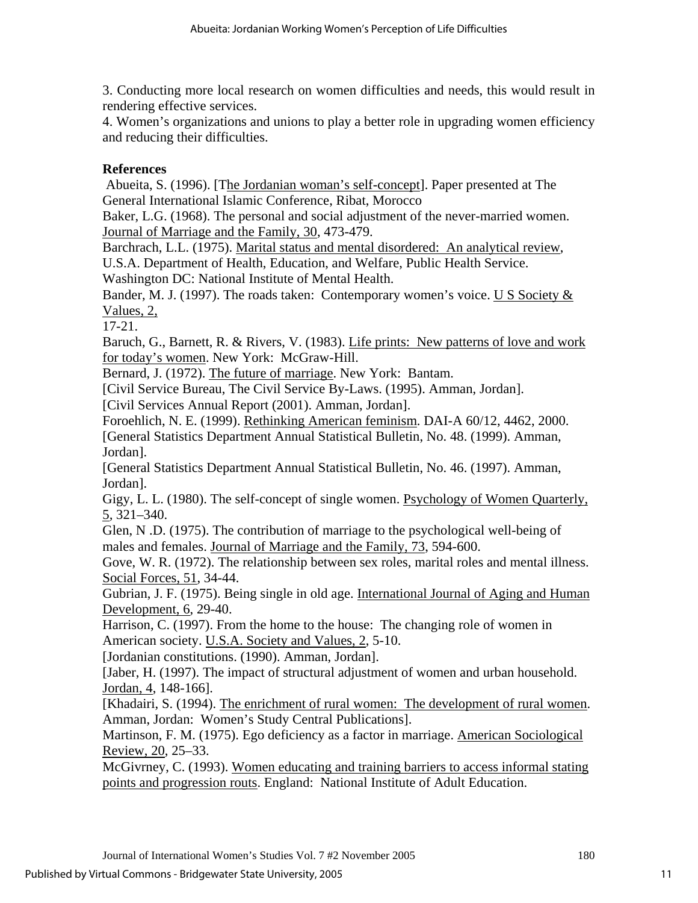3. Conducting more local research on women difficulties and needs, this would result in rendering effective services.

4. Women's organizations and unions to play a better role in upgrading women efficiency and reducing their difficulties.

# **References**

Abueita, S. (1996). [The Jordanian woman's self-concept]. Paper presented at The General International Islamic Conference, Ribat, Morocco

Baker, L.G. (1968). The personal and social adjustment of the never-married women. Journal of Marriage and the Family, 30, 473-479.

Barchrach, L.L. (1975). Marital status and mental disordered: An analytical review,

U.S.A. Department of Health, Education, and Welfare, Public Health Service.

Washington DC: National Institute of Mental Health.

Bander, M. J. (1997). The roads taken: Contemporary women's voice. U S Society  $\&$ Values, 2,

17-21.

Baruch, G., Barnett, R. & Rivers, V. (1983). Life prints: New patterns of love and work for today's women. New York: McGraw-Hill.

Bernard, J. (1972). The future of marriage. New York: Bantam.

[Civil Service Bureau, The Civil Service By-Laws. (1995). Amman, Jordan].

[Civil Services Annual Report (2001). Amman, Jordan].

Foroehlich, N. E. (1999). Rethinking American feminism. DAI-A 60/12, 4462, 2000.

[General Statistics Department Annual Statistical Bulletin, No. 48. (1999). Amman, Jordan].

[General Statistics Department Annual Statistical Bulletin, No. 46. (1997). Amman, Jordan].

Gigy, L. L. (1980). The self-concept of single women. Psychology of Women Quarterly, 5*,* 321–340.

Glen, N .D. (1975). The contribution of marriage to the psychological well-being of males and females. Journal of Marriage and the Family, 73, 594-600.

Gove, W. R. (1972). The relationship between sex roles, marital roles and mental illness. Social Forces, 51, 34-44.

Gubrian, J. F. (1975). Being single in old age. International Journal of Aging and Human Development, 6, 29-40.

Harrison, C. (1997). From the home to the house: The changing role of women in American society. U.S.A. Society and Values, 2, 5-10.

[Jordanian constitutions. (1990). Amman, Jordan].

[Jaber, H. (1997). The impact of structural adjustment of women and urban household. Jordan, 4, 148-166].

[Khadairi, S. (1994). The enrichment of rural women: The development of rural women. Amman, Jordan: Women's Study Central Publications].

Martinson, F. M. (1975). Ego deficiency as a factor in marriage. American Sociological Review, 20, 25–33.

McGivrney, C. (1993). Women educating and training barriers to access informal stating points and progression routs. England: National Institute of Adult Education.